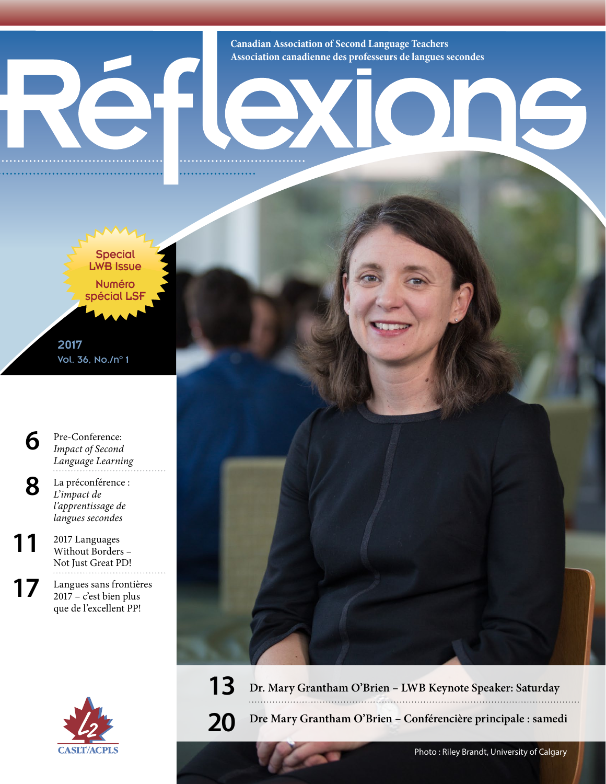

**Canadian Association of Second Language Teachers Association canadienne des professeurs de langues secondes**



2017 Vol. 36, No./n°1

**[6](#page--1-0)** [Pre-Conference:](#page--1-0)  *[Impact of Second](#page--1-0)  [Language Learning](#page--1-0)*

**8** La préconférence : *L'impact de l'apprentissage de langues secondes*

11 <sup>2017</sup> Languages Without Borders – Not Just Great PD!

17 Langues sans frontières 2017 – c'est bien plus que de l'excellent PP!





**20 Dre Mary Grantham O'Brien – Conférencière principale : samedi**

16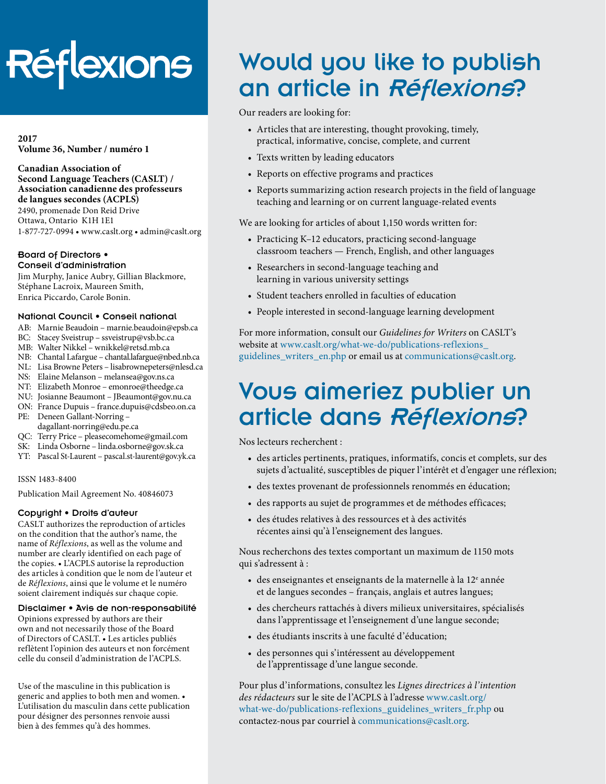# Réflexions

**2017 Volume 36, Number / numéro 1**

**Canadian Association of Second Language Teachers (CASLT) / Association canadienne des professeurs de langues secondes (ACPLS)** 2490, promenade Don Reid Drive

Ottawa, Ontario K1H 1E1 1-877-727-0994 • [www.caslt.org](http://www.caslt.org) • [admin@caslt.org](mailto:admin%40caslt.org?subject=)

#### Board of Directors • Conseil d'administration

Jim Murphy, Janice Aubry, Gillian Blackmore, Stéphane Lacroix, Maureen Smith, Enrica Piccardo, Carole Bonin.

# National Council • Conseil national

- AB: Marnie Beaudoin [marnie.beaudoin@epsb.ca](mailto:marnie.beaudoin%40epsb.ca?subject=)
- BC: Stacey Sveistrup – [ssveistrup@vsb.bc.ca](mailto:ssveistrup%40vsb.bc.ca?subject=)
- MB: Walter Nikkel [wnikkel@retsd.mb.ca](mailto:wnikkel%40retsd.mb.ca?subject=)
- NB: Chantal Lafargue – [chantal.lafargue@nbed.nb.ca](mailto:chantal.lafargue%40nbed.nb.ca?subject=)
- NL: Lisa Browne Peters [lisabrownepeters@](mailto:lisabrownepeters%40cdli.ca?subject=)nlesd.ca
- NS: Elaine Melanson – [melansea@gov.ns.ca](mailto:melansea%40gov.ns.ca?subject=)
- NT: Elizabeth Monroe [emonroe@theedge.ca](mailto:emonroe%40theedge.ca?subject=)
- NU: Josianne Beaumont – [JBeaumont@gov.nu.ca](mailto:JBeaumont%40gov.nu.ca?subject=) ON: France Dupuis – [france.dupuis@cdsbeo.on.ca](mailto:france.dupuis%40cdsbeo.on.ca?subject=)
- PE: Deneen Gallant-Norring –
- [dagallant-norring@edu.pe.ca](mailto:dagallant-norring%40edu.pe.ca?subject=)
- QC: Terry Price – [pleasecomehome@gmail.com](mailto:pleasecomehome%40gmail.com?subject=)
- SK: Linda Osborne – [linda.osborne@gov.sk.ca](mailto:linda.osborne%40gov.sk.ca?subject=)
- YT: Pascal St-Laurent – [pascal.st-laurent@gov.yk.ca](mailto:pascal.st-laurent%40gov.yk.ca?subject=)

#### ISSN 1483-8400

Publication Mail Agreement No. 40846073

#### Copyright • Droits d'auteur

CASLT authorizes the reproduction of articles on the condition that the author's name, the name of *Réflexions*, as well as the volume and number are clearly identified on each page of the copies. • L'ACPLS autorise la reproduction des articles à condition que le nom de l'auteur et de *Réflexions*, ainsi que le volume et le numéro soient clairement indiqués sur chaque copie.

#### Disclaimer • Avis de non-responsabilité

Opinions expressed by authors are their own and not necessarily those of the Board of Directors of CASLT. • Les articles publiés reflètent l'opinion des auteurs et non forcément celle du conseil d'administration de l'ACPLS.

Use of the masculine in this publication is generic and applies to both men and women. • L'utilisation du masculin dans cette publication pour désigner des personnes renvoie aussi bien à des femmes qu'à des hommes.

# Would you like to publish an article in Réflexions?

Our readers are looking for:

- Articles that are interesting, thought provoking, timely, practical, informative, concise, complete, and current
- Texts written by leading educators
- Reports on effective programs and practices
- Reports summarizing action research projects in the field of language teaching and learning or on current language-related events

We are looking for articles of about 1,150 words written for:

- Practicing K–12 educators, practicing second-language classroom teachers — French, English, and other languages
- Researchers in second-language teaching and learning in various university settings
- Student teachers enrolled in faculties of education
- People interested in second-language learning development

For more information, consult our *Guidelines for Writers* on CASLT's website at www.caslt.org/what-we-do/publications-reflexions [guidelines\\_writers\\_en.php](http://www.caslt.org/what-we-do/publications-reflexions_guidelines_writers_en.php) or email us at communications[@caslt.org](mailto:communications%40caslt.org?subject=).

# Vous aimeriez publier un article dans Réflexions?

Nos lecteurs recherchent :

- des articles pertinents, pratiques, informatifs, concis et complets, sur des sujets d'actualité, susceptibles de piquer l'intérêt et d'engager une réflexion;
- des textes provenant de professionnels renommés en éducation;
- des rapports au sujet de programmes et de méthodes efficaces;
- des études relatives à des ressources et à des activités récentes ainsi qu'à l'enseignement des langues.

Nous recherchons des textes comportant un maximum de 1150 mots qui s'adressent à :

- des enseignantes et enseignants de la maternelle à la  $12^e$  année et de langues secondes – français, anglais et autres langues;
- des chercheurs rattachés à divers milieux universitaires, spécialisés dans l'apprentissage et l'enseignement d'une langue seconde;
- des étudiants inscrits à une faculté d'éducation;
- des personnes qui s'intéressent au développement de l'apprentissage d'une langue seconde.

Pour plus d'informations, consultez les *Lignes directrices à l'intention des rédacteurs* sur le site de l'ACPLS à l'adresse [www.caslt.org/](www.caslt.org/what-we-do/publications-reflexions_guidelines_writers_fr.php) [what-we-do/publications-reflexions\\_guidelines\\_writers\\_fr.php](www.caslt.org/what-we-do/publications-reflexions_guidelines_writers_fr.php) ou contactez-nous par courriel à communication[s@caslt.org.](mailto:communications%40caslt.org?subject=)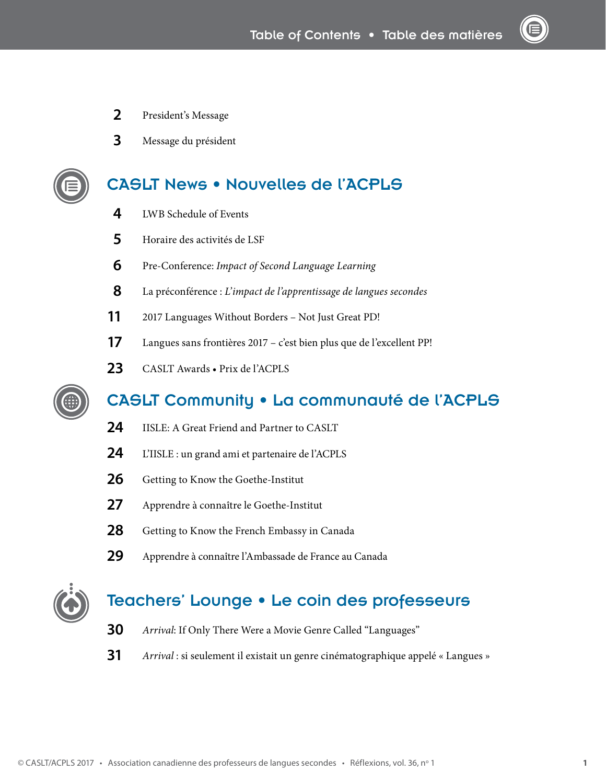- President's Message
- Message du président

# [CASLT News • Nouvelles de l'ACPLS](#page--1-1)

- [LWB Schedule of Events](#page--1-2)
- Horaire des activités de LSF
- Pre-Conference: *[Impact of Second Language Learning](#page--1-0)*
- La préconférence : *L'impact de l'apprentissage de langues secondes*
- 2017 Languages Without Borders Not Just Great PD!
- Langues sans frontières 2017 c'est bien plus que de l'excellent PP!
- 23 CASLT Awards Prix de l'ACPLS



# [CASLT Community • La communauté de l'ACPLS](#page--1-1)

- [IISLE: A Great Friend and Partner to CASLT](#page--1-0)
- L'IISLE : un grand ami et partenaire de l'ACPLS
- [Getting to Know the Goethe-Institut](#page--1-0)
- Apprendre à connaître le Goethe-Institut
- [Getting to Know the French Embassy in Canada](#page--1-0)
- Apprendre à connaître l'Ambassade de France au Canada



# [Teachers' Lounge • Le coin des professeurs](#page--1-1)

- *Arrival*: If Only There Were a Movie Genre Called "Languages"
- *Arrival* : si seulement il existait un genre cinématographique appelé « Langues »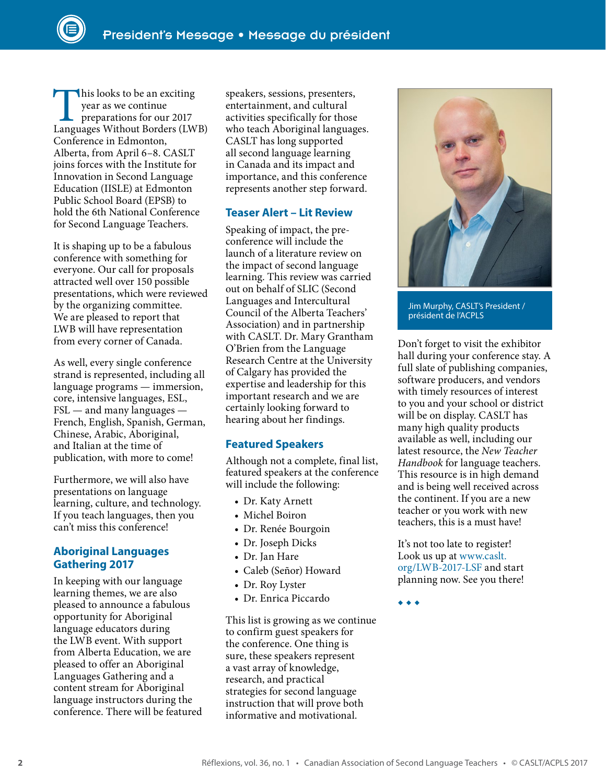This looks to be an exciting<br>
year as we continue<br>
preparations for our 2017<br>
Languages Without Borders (LWB) year as we continue preparations for our 2017 Conference in Edmonton, Alberta, from April 6–8. CASLT joins forces with the Institute for Innovation in Second Language Education (IISLE) at Edmonton Public School Board (EPSB) to hold the 6th National Conference for Second Language Teachers.

It is shaping up to be a fabulous conference with something for everyone. Our call for proposals attracted well over 150 possible presentations, which were reviewed by the organizing committee. We are pleased to report that LWB will have representation from every corner of Canada.

As well, every single conference strand is represented, including all language programs — immersion, core, intensive languages, ESL,  $FSL$  — and many languages — French, English, Spanish, German, Chinese, Arabic, Aboriginal, and Italian at the time of publication, with more to come!

Furthermore, we will also have presentations on language learning, culture, and technology. If you teach languages, then you can't miss this conference!

# **Aboriginal Languages Gathering 2017**

In keeping with our language learning themes, we are also pleased to announce a fabulous opportunity for Aboriginal language educators during the LWB event. With support from Alberta Education, we are pleased to offer an Aboriginal Languages Gathering and a content stream for Aboriginal language instructors during the conference. There will be featured speakers, sessions, presenters, entertainment, and cultural activities specifically for those who teach Aboriginal languages. CASLT has long supported all second language learning in Canada and its impact and importance, and this conference represents another step forward.

# **Teaser Alert – Lit Review**

Speaking of impact, the preconference will include the launch of a literature review on the impact of second language learning. This review was carried out on behalf of SLIC (Second Languages and Intercultural Council of the Alberta Teachers' Association) and in partnership with CASLT. Dr. Mary Grantham O'Brien from the Language Research Centre at the University of Calgary has provided the expertise and leadership for this important research and we are certainly looking forward to hearing about her findings.

# **Featured Speakers**

Although not a complete, final list, featured speakers at the conference will include the following:

- [Dr. Katy Arnett](http://www.smcm.edu/directory/faculty-profile/katy-arnett/)
- [Michel Boiron](https://www.youtube.com/watch?v=LvWY0foUoWg)
- [Dr. Renée Bourgoin](http://www.unb.ca/fredericton/second-language/about/renee.html)
- [Dr. Joseph Dicks](http://www.unb.ca/fredericton/education/people/josephdicks.html)
- [Dr. Jan Hare](http://lled.educ.ubc.ca/profiles/jan-hare/)
- [Caleb \(Señor\) Howard](http://www.senorhoward.com/)
- [Dr. Roy Lyster](https://mcgill.ca/dise/roy-lyster)
- [Dr. Enrica Piccardo](http://www.oise.utoronto.ca/ctl/Faculty_Staff/Faculty_Profiles/189272/Enrica_Piccardo.html)

This list is growing as we continue to confirm guest speakers for the conference. One thing is sure, these speakers represent a vast array of knowledge, research, and practical strategies for second language instruction that will prove both informative and motivational.



Jim Murphy, CASLT's President / président de l'ACPLS

Don't forget to visit the exhibitor hall during your conference stay. A full slate of publishing companies, software producers, and vendors with timely resources of interest to you and your school or district will be on display. CASLT has many high quality products available as well, including our latest resource, the *New Teacher Handbook* for language teachers. This resource is in high demand and is being well received across the continent. If you are a new teacher or you work with new teachers, this is a must have!

It's not too late to register! Look us up at [www.caslt.](https://www.caslt.org/LWB-2017-LSF) [org/LWB-2017-LSF](https://www.caslt.org/LWB-2017-LSF) and start planning now. See you there!

◆ ◆ ◆